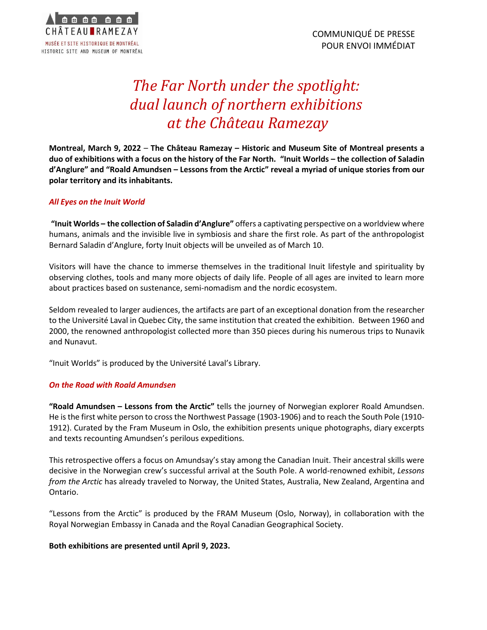

## *The Far North under the spotlight: dual launch of northern exhibitions at the Château Ramezay*

**Montreal, March 9, 2022** – **The Château Ramezay – Historic and Museum Site of Montreal presents a duo of exhibitions with a focus on the history of the Far North. "Inuit Worlds – the collection of Saladin d'Anglure" and "Roald Amundsen – Lessons from the Arctic" reveal a myriad of unique stories from our polar territory and its inhabitants.**

## *All Eyes on the Inuit World*

**"Inuit Worlds – the collection of Saladin d'Anglure"** offers a captivating perspective on a worldview where humans, animals and the invisible live in symbiosis and share the first role. As part of the anthropologist Bernard Saladin d'Anglure, forty Inuit objects will be unveiled as of March 10.

Visitors will have the chance to immerse themselves in the traditional Inuit lifestyle and spirituality by observing clothes, tools and many more objects of daily life. People of all ages are invited to learn more about practices based on sustenance, semi-nomadism and the nordic ecosystem.

Seldom revealed to larger audiences, the artifacts are part of an exceptional donation from the researcher to the Université Laval in Quebec City, the same institution that created the exhibition. Between 1960 and 2000, the renowned anthropologist collected more than 350 pieces during his numerous trips to Nunavik and Nunavut.

"Inuit Worlds" is produced by the Université Laval's Library.

## *On the Road with Roald Amundsen*

**"Roald Amundsen – Lessons from the Arctic"** tells the journey of Norwegian explorer Roald Amundsen. He is the first white person to cross the Northwest Passage (1903-1906) and to reach the South Pole (1910- 1912). Curated by the Fram Museum in Oslo, the exhibition presents unique photographs, diary excerpts and texts recounting Amundsen's perilous expeditions.

This retrospective offers a focus on Amundsay's stay among the Canadian Inuit. Their ancestral skills were decisive in the Norwegian crew's successful arrival at the South Pole. A world-renowned exhibit, *Lessons from the Arctic* has already traveled to Norway, the United States, Australia, New Zealand, Argentina and Ontario.

"Lessons from the Arctic" is produced by the FRAM Museum (Oslo, Norway), in collaboration with the Royal Norwegian Embassy in Canada and the Royal Canadian Geographical Society.

## **Both exhibitions are presented until April 9, 2023.**